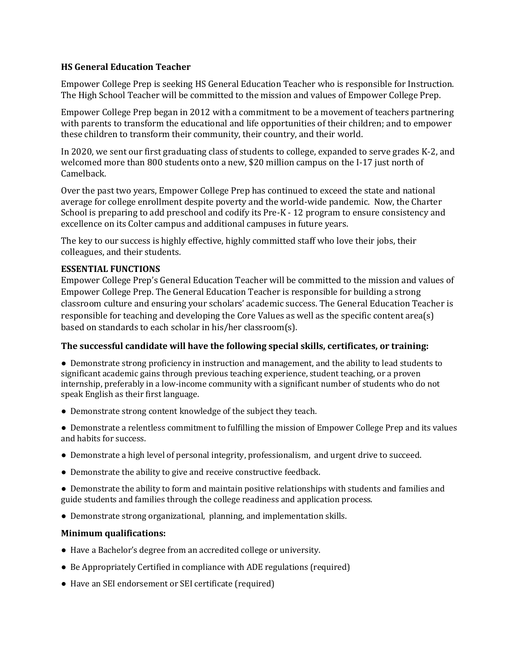## **HS General Education Teacher**

Empower College Prep is seeking HS General Education Teacher who is responsible for Instruction. The High School Teacher will be committed to the mission and values of Empower College Prep.

Empower College Prep began in 2012 with a commitment to be a movement of teachers partnering with parents to transform the educational and life opportunities of their children; and to empower these children to transform their community, their country, and their world.

In 2020, we sent our first graduating class of students to college, expanded to serve grades K-2, and welcomed more than 800 students onto a new, \$20 million campus on the I-17 just north of Camelback.

Over the past two years, Empower College Prep has continued to exceed the state and national average for college enrollment despite poverty and the world-wide pandemic. Now, the Charter School is preparing to add preschool and codify its Pre-K - 12 program to ensure consistency and excellence on its Colter campus and additional campuses in future years.

The key to our success is highly effective, highly committed staff who love their jobs, their colleagues, and their students.

## **ESSENTIAL FUNCTIONS**

Empower College Prep's General Education Teacher will be committed to the mission and values of Empower College Prep. The General Education Teacher is responsible for building a strong classroom culture and ensuring your scholars' academic success. The General Education Teacher is responsible for teaching and developing the Core Values as well as the specific content area(s) based on standards to each scholar in his/her classroom(s).

## **The successful candidate will have the following special skills, certificates, or training:**

● Demonstrate strong proficiency in instruction and management, and the ability to lead students to significant academic gains through previous teaching experience, student teaching, or a proven internship, preferably in a low-income community with a significant number of students who do not speak English as their first language.

- Demonstrate strong content knowledge of the subject they teach.
- Demonstrate a relentless commitment to fulfilling the mission of Empower College Prep and its values and habits for success.
- Demonstrate a high level of personal integrity, professionalism, and urgent drive to succeed.
- Demonstrate the ability to give and receive constructive feedback.

● Demonstrate the ability to form and maintain positive relationships with students and families and guide students and families through the college readiness and application process.

● Demonstrate strong organizational, planning, and implementation skills.

## **Minimum qualifications:**

- Have a Bachelor's degree from an accredited college or university.
- Be Appropriately Certified in compliance with ADE regulations (required)
- Have an SEI endorsement or SEI certificate (required)